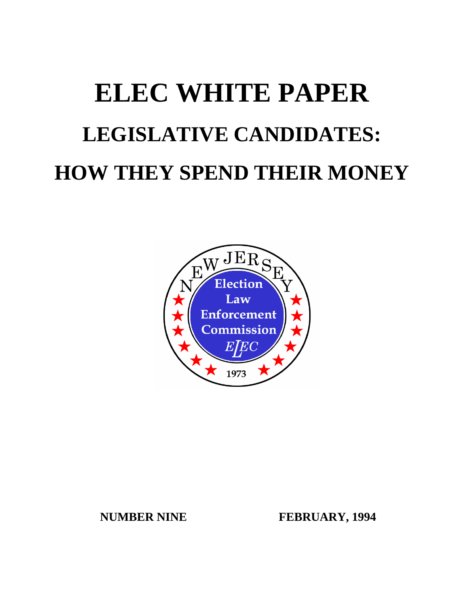# **ELEC WHITE PAPER LEGISLATIVE CANDIDATES: HOW THEY SPEND THEIR MONEY**



**NUMBER NINE FEBRUARY, 1994**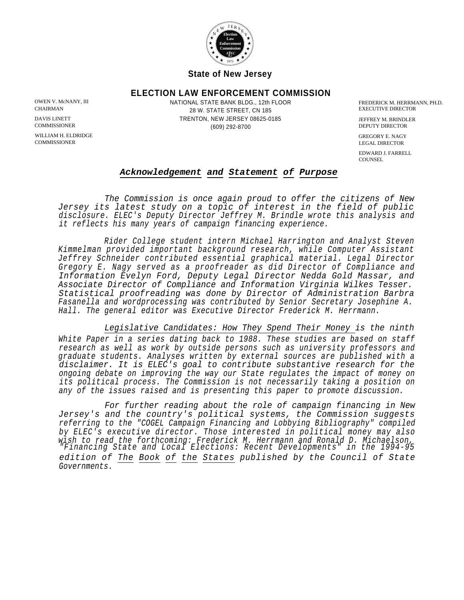

**State of New Jersey**

#### **ELECTION LAW ENFORCEMENT COMMISSION**

WILLIAM H. ELDRIDGE GREGORY E. NAGY (GREGORY E. NAGY COMMISSIONER GREGORY E. NAGY COMMISSIONER

OWEN V. McNANY, III **State BRANG BANG AND STATE BANK BLDG.**, 12th FLOOR **The CONTEXT BANG BANG BANG BANG BANG BANG** 28 W. STATE STREET, CN 185 CHAIRMAN EXECUTIVE DIRECTOR TRENTON, NEW JERSEY 08625-0185 DAVIS LINETT JEFFREY M. BRINDLER (609) 292-8700 COMMISSIONER COMMISSIONER (609) 292-8700 DEPUTY DIRECTOR

LEGAL DIRECTOR

EDWARD J. FARRELL COUNSEL.

#### *Acknowledgement and Statement of Purpose*

*The Commission is once again proud to offer the citizens of New Jersey its latest study on a topic of interest in the field of public disclosure. ELEC's Deputy Director Jeffrey M. Brindle wrote this analysis and it reflects his many years of campaign financing experience.*

*Rider College student intern Michael Harrington and Analyst Steven Kimmelman provided important background research, while Computer Assistant Jeffrey Schneider contributed essential graphical material. Legal Director Gregory E. Nagy served as a proofreader as did Director of Compliance and Information Evelyn Ford, Deputy Legal Director Nedda Gold Massar, and Associate Director of Compliance and Information Virginia Wilkes Tesser. Statistical proofreading was done by Director of Administration Barbra Fasanella and wordprocessing was contributed by Senior Secretary Josephine A. Hall. The general editor was Executive Director Frederick M. Herrmann.*

*Legislative Candidates: How They Spend Their Money is the ninth White Paper in a series dating back to 1988. These studies are based on staff research as well as work by outside persons such as university professors and graduate students. Analyses written by external sources are published with a disclaimer. It is ELEC's goal to contribute substantive research for the ongoing debate on improving the way our State regulates the impact of money on its political process. The Commission is not necessarily taking a position on any of the issues raised and is presenting this paper to promote discussion.*

*For further reading about the role of campaign financing in New Jersey's and the country's political systems, the Commission suggests referring to the "COGEL Campaign Financing and Lobbying Bibliography" compiled by ELEC's executive director. Those interested in political money may also wish to read the forthcoming: Frederick M. Herrmann and Ronald D. Michaelson, "Financing State and Local Elections: Recent Developments" in the 1994-95 edition of The Book of the States published by the Council of State Governments.*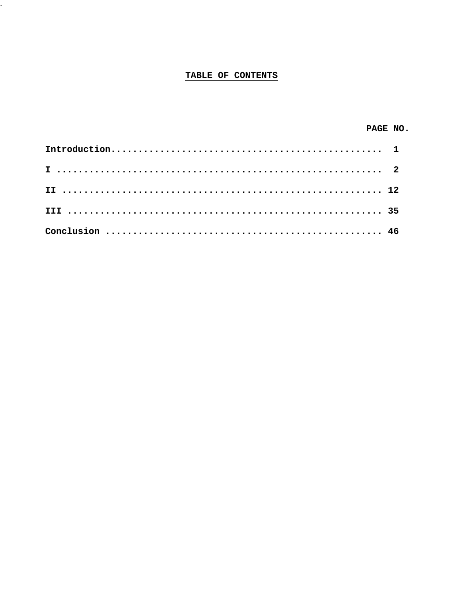#### TABLE OF CONTENTS

 $\overline{\phantom{a}}$ 

| PAGE NO. |  |
|----------|--|
|          |  |
|          |  |
|          |  |
|          |  |
|          |  |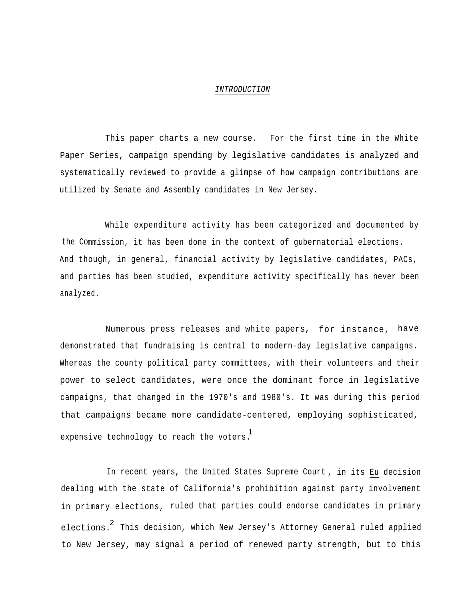#### *INTRODUCTION*

This paper charts a new course. For the first time in the White Paper Series, campaign spending by legislative candidates is analyzed and systematically reviewed to provide a glimpse of how campaign contributions are utilized by Senate and Assembly candidates in New Jersey.

While expenditure activity has been categorized and documented by the Commission, it has been done in the context of gubernatorial elections. And though, in general, financial activity by legislative candidates, PACs, and parties has been studied, expenditure activity specifically has never been analyzed.

Numerous press releases and white papers, for instance, have demonstrated that fundraising is central to modern-day legislative campaigns. Whereas the county political party committees, with their volunteers and their power to select candidates, were once the dominant force in legislative campaigns, that changed in the 1970's and 1980's. It was during this period that campaigns became more candidate-centered, employing sophisticated, expensive technology to reach the voters. 1

In recent years, the United States Supreme Court , in its Eu decision dealing with the state of California's prohibition against party involvement in primary elections, ruled that parties could endorse candidates in primary elections. This decision, which New Jersey's Attorney General ruled applied to New Jersey, may signal a period of renewed party strength, but to this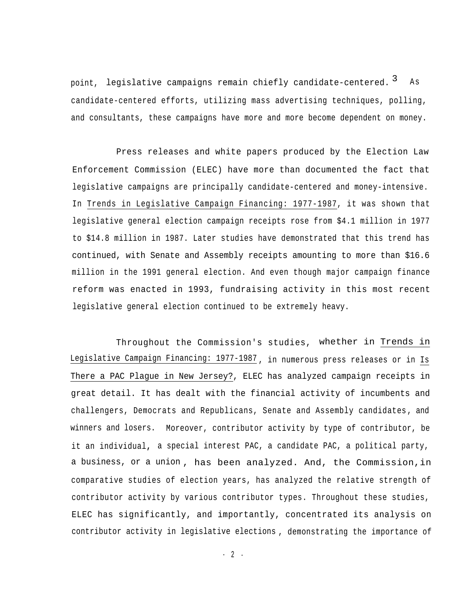point, legislative campaigns remain chiefly candidate-centered. <sup>3</sup> As candidate-centered efforts, utilizing mass advertising techniques, polling, and consultants, these campaigns have more and more become dependent on money.

Press releases and white papers produced by the Election Law Enforcement Commission (ELEC) have more than documented the fact that legislative campaigns are principally candidate-centered and money-intensive. In Trends in Legislative Campaign Financing: 1977-1987, it was shown that legislative general election campaign receipts rose from \$4.1 million in 1977 to \$14.8 million in 1987. Later studies have demonstrated that this trend has continued, with Senate and Assembly receipts amounting to more than \$16.6 million in the 1991 general election. And even though major campaign finance reform was enacted in 1993, fundraising activity in this most recent legislative general election continued to be extremely heavy.

Throughout the Commission's studies, whether in Trends in Legislative Campaign Financing: 1977-1987 , in numerous press releases or in Is There a PAC Plague in New Jersey?, ELEC has analyzed campaign receipts in great detail. It has dealt with the financial activity of incumbents and challengers, Democrats and Republicans, Senate and Assembly candidates , and winners and losers. Moreover, contributor activity by type of contributor, be it an individual**,** a special interest PAC, a candidate PAC, a political party, a business, or a union , has been analyzed. And, the Commission,in comparative studies of election years, has analyzed the relative strength of contributor activity by various contributor types. Throughout these studies, ELEC has significantly, and importantly, concentrated its analysis on contributor activity in legislative elections , demonstrating the importance of

- 2 -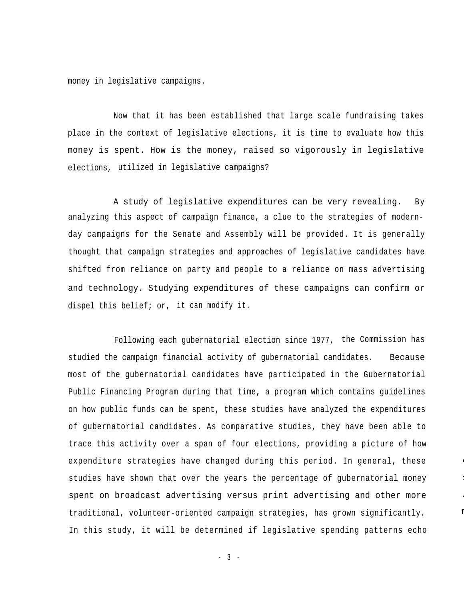money in legislative campaigns.

Now that it has been established that large scale fundraising takes place in the context of legislative elections, it is time to evaluate how this money is spent. How is the money, raised so vigorously in legislative elections, utilized in legislative campaigns?

A study of legislative expenditures can be very revealing. By analyzing this aspect of campaign finance, a clue to the strategies of modernday campaigns for the Senate and Assembly will be provided. It is generally thought that campaign strategies and approaches of legislative candidates have shifted from reliance on party and people to a reliance on mass advertising and technology. Studying expenditures of these campaigns can confirm or dispel this belief; or, it can modify it.

Following each gubernatorial election since 1977, the Commission has studied the campaign financial activity of gubernatorial candidates. Because most of the gubernatorial candidates have participated in the Gubernatorial Public Financing Program during that time, a program which contains guidelines on how public funds can be spent, these studies have analyzed the expenditures of gubernatorial candidates. As comparative studies, they have been able to trace this activity over a span of four elections, providing a picture of how expenditure strategies have changed during this period. In general, these studies have shown that over the years the percentage of gubernatorial money spent on broadcast advertising versus print advertising and other more traditional, volunteer-oriented campaign strategies, has grown significantly. In this study, it will be determined if legislative spending patterns echo

---

--

--

m

 $-3 -$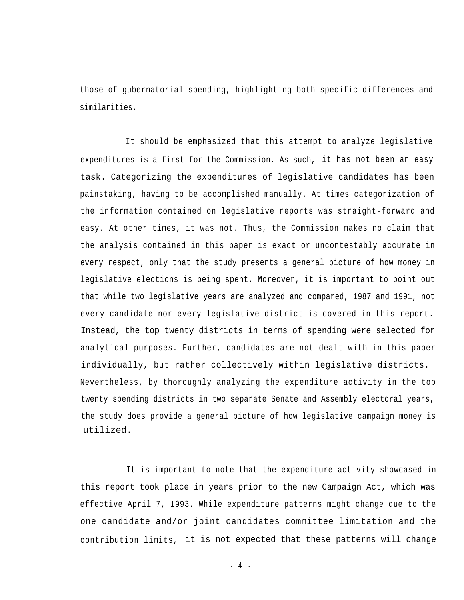those of gubernatorial spending, highlighting both specific differences and similarities.

It should be emphasized that this attempt to analyze legislative expenditures is a first for the Commission. As such, it has not been an easy task. Categorizing the expenditures of legislative candidates has been painstaking, having to be accomplished manually. At times categorization of the information contained on legislative reports was straight-forward and easy. At other times, it was not. Thus, the Commission makes no claim that the analysis contained in this paper is exact or uncontestably accurate in every respect, only that the study presents a general picture of how money in legislative elections is being spent. Moreover, it is important to point out that while two legislative years are analyzed and compared, 1987 and 1991, not every candidate nor every legislative district is covered in this report. Instead, the top twenty districts in terms of spending were selected for analytical purposes. Further, candidates are not dealt with in this paper individually, but rather collectively within legislative districts. Nevertheless, by thoroughly analyzing the expenditure activity in the top twenty spending districts in two separate Senate and Assembly electoral years**,** the study does provide a general picture of how legislative campaign money is utilized.

It is important to note that the expenditure activity showcased in this report took place in years prior to the new Campaign Act, which was effective April 7, 1993. While expenditure patterns might change due to the one candidate and/or joint candidates committee limitation and the contribution limits, it is not expected that these patterns will change

 $-4 -$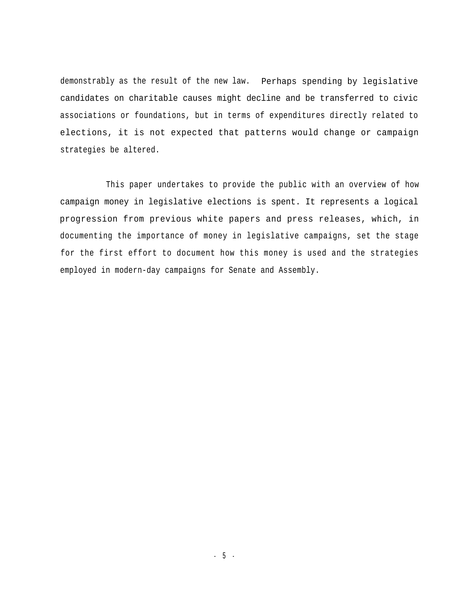demonstrably as the result of the new law. Perhaps spending by legislative candidates on charitable causes might decline and be transferred to civic associations or foundations, but in terms of expenditures directly related to elections, it is not expected that patterns would change or campaign strategies be altered.

This paper undertakes to provide the public with an overview of how campaign money in legislative elections is spent. It represents a logical progression from previous white papers and press releases, which, in documenting the importance of money in legislative campaigns, set the stage for the first effort to document how this money is used and the strategies employed in modern-day campaigns for Senate and Assembly.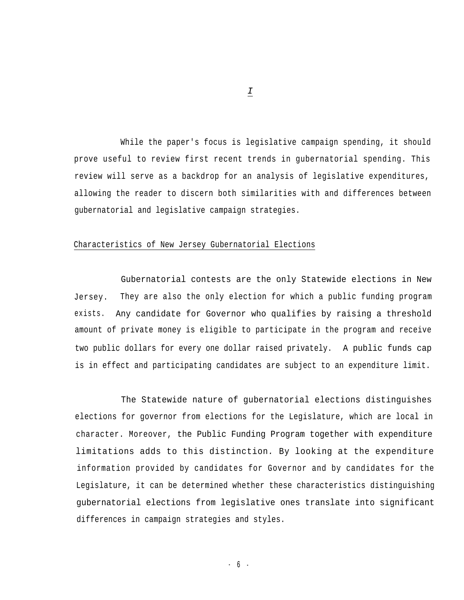While the paper's focus is legislative campaign spending, it should prove useful to review first recent trends in gubernatorial spending. This review will serve as a backdrop for an analysis of legislative expenditures, allowing the reader to discern both similarities with and differences between gubernatorial and legislative campaign strategies.

#### Characteristics of New Jersey Gubernatorial Elections

Gubernatorial contests are the only Statewide elections in New Jersey. They are also the only election for which a public funding program exists. Any candidate for Governor who qualifies by raising a threshold amount of private money is eligible to participate in the program and receive two public dollars for every one dollar raised privately. A public funds cap is in effect and participating candidates are subject to an expenditure limit.

The Statewide nature of gubernatorial elections distinguishes elections for governor from elections for the Legislature, which are local in character. Moreover, the Public Funding Program together with expenditure limitations adds to this distinction*.* By looking at the expenditure information provided by candidates for Governor and by candidates for the Legislature, it can be determined whether these characteristics distinguishing gubernatorial elections from legislative ones translate into significant differences in campaign strategies and styles.

*I*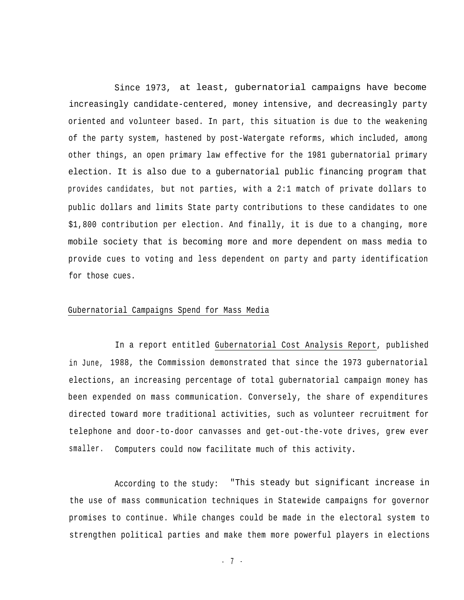Since 1973, at least, gubernatorial campaigns have become increasingly candidate-centered, money intensive, and decreasingly party oriented and volunteer based. In part, this situation is due to the weakening of the party system, hastened by post-Watergate reforms, which included, among other things, an open primary law effective for the 1981 gubernatorial primary election. It is also due to a gubernatorial public financing program that provides candidates, but not parties, with a 2:1 match of private dollars to public dollars and limits State party contributions to these candidates to one \$1,800 contribution per election. And finally, it is due to a changing, more mobile society that is becoming more and more dependent on mass media to provide cues to voting and less dependent on party and party identification for those cues.

#### Gubernatorial Campaigns Spend for Mass Media

In a report entitled Gubernatorial Cost Analysis Report, published in June, 1988, the Commission demonstrated that since the 1973 gubernatorial elections, an increasing percentage of total gubernatorial campaign money has been expended on mass communication. Conversely, the share of expenditures directed toward more traditional activities, such as volunteer recruitment for telephone and door-to-door canvasses and get-out-the-vote drives, grew ever smaller. Computers could now facilitate much of this activity**.**

According to the study: "This steady but significant increase in the use of mass communication techniques in Statewide campaigns for governor promises to continue. While changes could be made in the electoral system to strengthen political parties and make them more powerful players in elections

- 7 -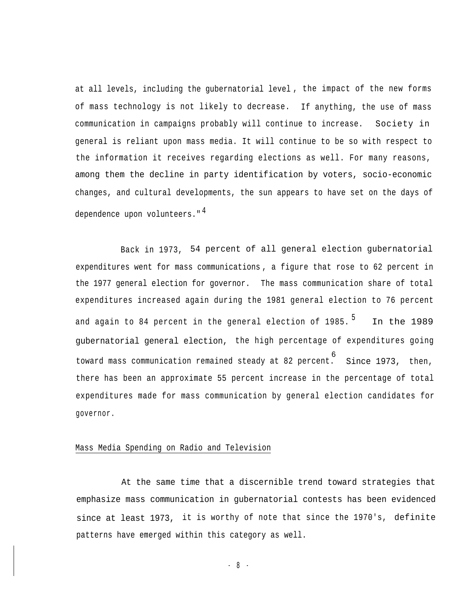at all levels, including the gubernatorial level , the impact of the new forms of mass technology is not likely to decrease. If anything, the use of mass communication in campaigns probably will continue to increase. Society in general is reliant upon mass media. It will continue to be so with respect to the information it receives regarding elections as well. For many reasons, among them the decline in party identification by voters, socio-economic changes, and cultural developments, the sun appears to have set on the days of dependence upon volunteers."<sup>4</sup>

Back in 1973, 54 percent of all general election gubernatorial expenditures went for mass communications , a figure that rose to 62 percent in the 1977 general election for governor. The mass communication share of total expenditures increased again during the 1981 general election to 76 percent and again to 84 percent in the general election of  $1985.$ <sup>5</sup> In the 1989 gubernatorial general election, the high percentage of expenditures going toward mass communication remained steady at 82 percent. Since 1973, then, there has been an approximate 55 percent increase in the percentage of total expenditures made for mass communication by general election candidates for governor. 6

#### Mass Media Spending on Radio and Television

At the same time that a discernible trend toward strategies that emphasize mass communication in gubernatorial contests has been evidenced since at least 1973, it is worthy of note that since the 1970's, definite patterns have emerged within this category as well.

- 8 -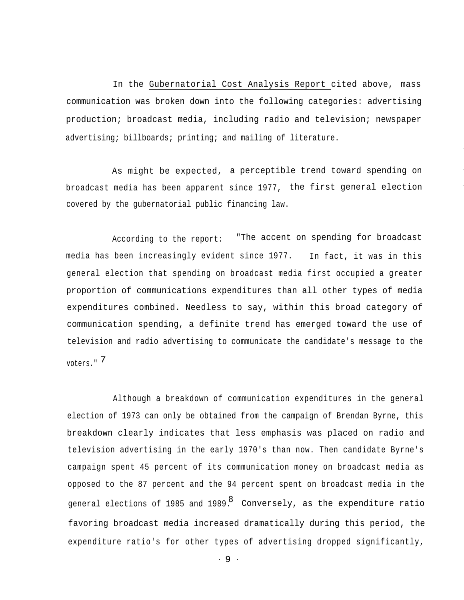In the Gubernatorial Cost Analysis Report cited above, mass communication was broken down into the following categories: advertising production; broadcast media, including radio and television; newspaper advertising; billboards; printing; and mailing of literature.

As might be expected, a perceptible trend toward spending on broadcast media has been apparent since 1977, the first general election covered by the gubernatorial public financing law.

According to the report: "The accent on spending for broadcast media has been increasingly evident since 1977. In fact, it was in this general election that spending on broadcast media first occupied a greater proportion of communications expenditures than all other types of media expenditures combined. Needless to say, within this broad category of communication spending, a definite trend has emerged toward the use of television and radio advertising to communicate the candidate's message to the 7 voters."

Although a breakdown of communication expenditures in the general election of 1973 can only be obtained from the campaign of Brendan Byrne, this breakdown clearly indicates that less emphasis was placed on radio and television advertising in the early 1970's than now. Then candidate Byrne's campaign spent 45 percent of its communication money on broadcast media as opposed to the 87 percent and the 94 percent spent on broadcast media in the general elections of 1985 and 1989.  $^\mathrm{8}$  Conversely, as the expenditure ratio favoring broadcast media increased dramatically during this period, the expenditure ratio's for other types of advertising dropped significantly,

- 9 -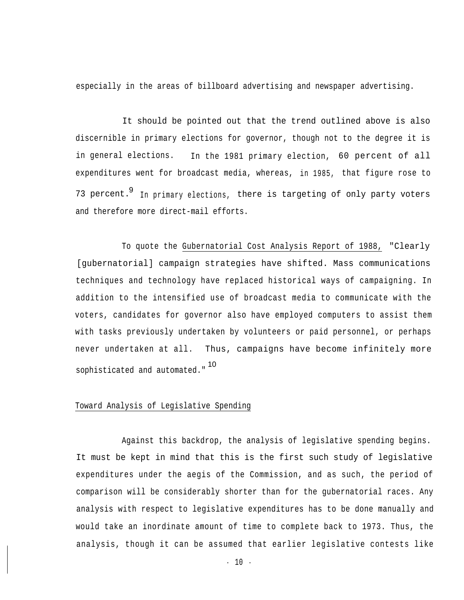especially in the areas of billboard advertising and newspaper advertising.

It should be pointed out that the trend outlined above is also discernible in primary elections for governor, though not to the degree it is in general elections. In the 1981 primary election, 60 percent of all expenditures went for broadcast media, whereas, in 1985, that figure rose to 73 percent.  $9$  In primary elections, there is targeting of only party voters and therefore more direct-mail efforts.

To quote the Gubernatorial Cost Analysis Report of 1988, "Clearly [gubernatorial] campaign strategies have shifted. Mass communications techniques and technology have replaced historical ways of campaigning. In addition to the intensified use of broadcast media to communicate with the voters, candidates for governor also have employed computers to assist them with tasks previously undertaken by volunteers or paid personnel, or perhaps never undertaken at all. Thus, campaigns have become infinitely more sophisticated and automated." 10

#### Toward Analysis of Legislative Spending

Against this backdrop, the analysis of legislative spending begins. It must be kept in mind that this is the first such study of legislative expenditures under the aegis of the Commission, and as such, the period of comparison will be considerably shorter than for the gubernatorial races. Any analysis with respect to legislative expenditures has to be done manually and would take an inordinate amount of time to complete back to 1973. Thus, the analysis, though it can be assumed that earlier legislative contests like

- 10 -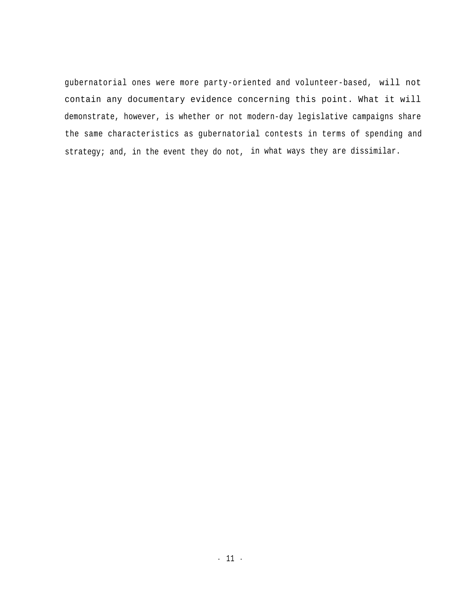gubernatorial ones were more party-oriented and volunteer-based, will not contain any documentary evidence concerning this point. What it will demonstrate, however, is whether or not modern-day legislative campaigns share the same characteristics as gubernatorial contests in terms of spending and strategy; and, in the event they do not, in what ways they are dissimilar.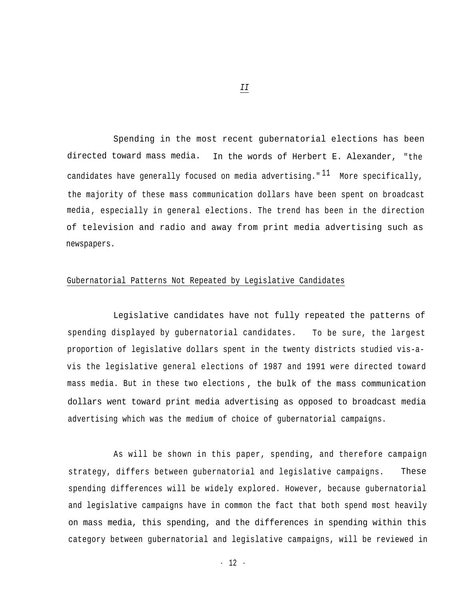Spending in the most recent gubernatorial elections has been directed toward mass media. In the words of Herbert E. Alexander, "the candidates have generally focused on media advertising."  $11$  More specifically, the majority of these mass communication dollars have been spent on broadcast media , especially in general elections. The trend has been in the direction of television and radio and away from print media advertising such as newspapers.

#### Gubernatorial Patterns Not Repeated by Legislative Candidates

Legislative candidates have not fully repeated the patterns of spending displayed by gubernatorial candidates. To be sure, the largest proportion of legislative dollars spent in the twenty districts studied vis-avis the legislative general elections of 1987 and 1991 were directed toward mass media. But in these two elections , the bulk of the mass communication dollars went toward print media advertising as opposed to broadcast media advertising which was the medium of choice of gubernatorial campaigns.

As will be shown in this paper, spending, and therefore campaign strategy, differs between gubernatorial and legislative campaigns. These spending differences will be widely explored. However, because gubernatorial and legislative campaigns have in common the fact that both spend most heavily on mass media, this spending, and the differences in spending within this category between gubernatorial and legislative campaigns, will be reviewed in

*II*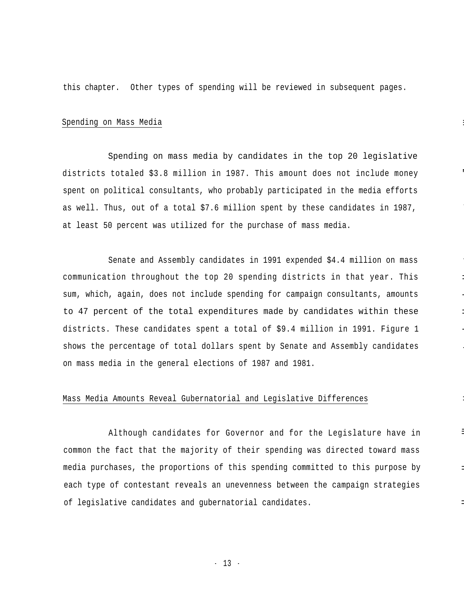this chapter. Other types of spending will be reviewed in subsequent pages.

#### Spending on Mass Media

Spending on mass media by candidates in the top 20 legislative districts totaled  $$3.8$  million in 1987. This amount does not include money spent on political consultants, who probably participated in the media efforts as well. Thus, out of a total \$7.6 million spent by these candidates in 1987, at least 50 percent was utilized for the purchase of mass media.

Senate and Assembly candidates in 1991 expended \$4.4 million on mass communication throughout the top 20 spending districts in that year. This sum, which, again, does not include spending for campaign consultants, amounts to 47 percent of the total expenditures made by candidates within these districts. These candidates spent a total of \$9.4 million in 1991. Figure 1 shows the percentage of total dollars spent by Senate and Assembly candidates on mass media in the general elections of 1987 and 1981.

-

-

--

-

-

--

--

#### Mass Media Amounts Reveal Gubernatorial and Legislative Differences

Although candidates for Governor and for the Legislature have in common the fact that the majority of their spending was directed toward mass media purchases, the proportions of this spending committed to this purpose by each type of contestant reveals an unevenness between the campaign strategies of legislative candidates and gubernatorial candidates.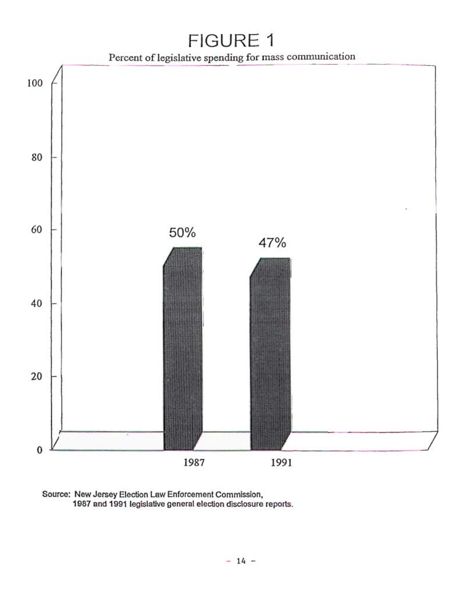# FIGURE 1



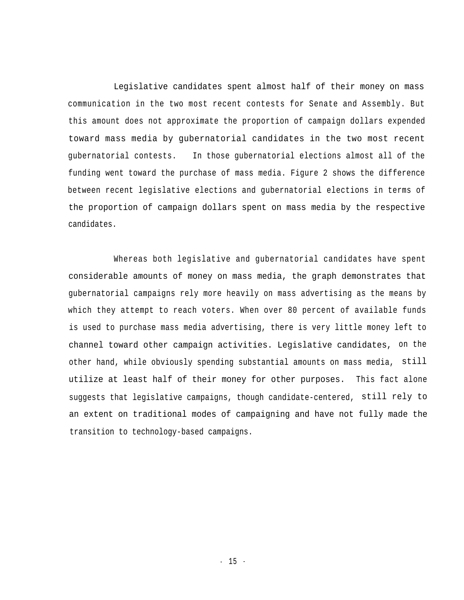Legislative candidates spent almost half of their money on mass communication in the two most recent contests for Senate and Assembly. But this amount does not approximate the proportion of campaign dollars expended toward mass media by gubernatorial candidates in the two most recent gubernatorial contests. In those gubernatorial elections almost all of the funding went toward the purchase of mass media. Figure 2 shows the difference between recent legislative elections and gubernatorial elections in terms of the proportion of campaign dollars spent on mass media by the respective candidates.

Whereas both legislative and gubernatorial candidates have spent considerable amounts of money on mass media, the graph demonstrates that gubernatorial campaigns rely more heavily on mass advertising as the means by which they attempt to reach voters. When over 80 percent of available funds is used to purchase mass media advertising, there is very little money left to channel toward other campaign activities. Legislative candidates, on the other hand, while obviously spending substantial amounts on mass media, still utilize at least half of their money for other purposes. This fact alone suggests that legislative campaigns, though candidate-centered, still rely to an extent on traditional modes of campaigning and have not fully made the transition to technology-based campaigns.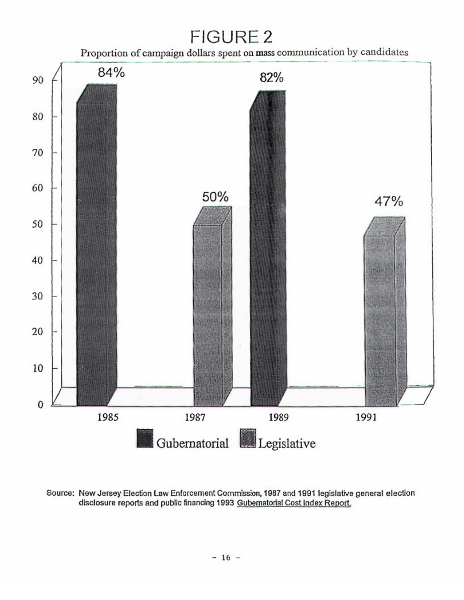## **FIGURE 2**





Source: New Jersey Election Law Enforcement Commission, 1987 and 1991 legislative general election disclosure reports and public financing 1993 Gubernatorial Cost Index Report.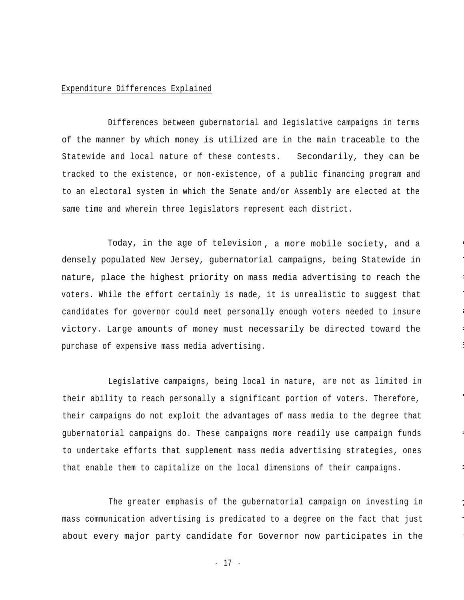#### Expenditure Differences Explained

Differences between gubernatorial and legislative campaigns in terms of the manner by which money is utilized are in the main traceable to the Statewide and local nature of these contests. Secondarily, they can be tracked to the existence, or non-existence, of a public financing program and to an electoral system in which the Senate and/or Assembly are elected at the same time and wherein three legislators represent each district.

Today, in the age of television, a more mobile society, and a densely populated New Jersey, gubernatorial campaigns, being Statewide in nature, place the highest priority on mass media advertising to reach the voters. While the effort certainly is made, it is unrealistic to suggest that candidates for governor could meet personally enough voters needed to insure victory. Large amounts of money must necessarily be directed toward the purchase of expensive mass media advertising.

--

-- -

--

--

---

--

--

--

Legislative campaigns, being local in nature, are not as limited in their ability to reach personally a significant portion of voters. Therefore, their campaigns do not exploit the advantages of mass media to the degree that gubernatorial campaigns do. These campaigns more readily use campaign funds to undertake efforts that supplement mass media advertising strategies, ones that enable them to capitalize on the local dimensions of their campaigns.

The greater emphasis of the gubernatorial campaign on investing in mass communication advertising is predicated to a degree on the fact that just about every major party candidate for Governor now participates in the

- 17 -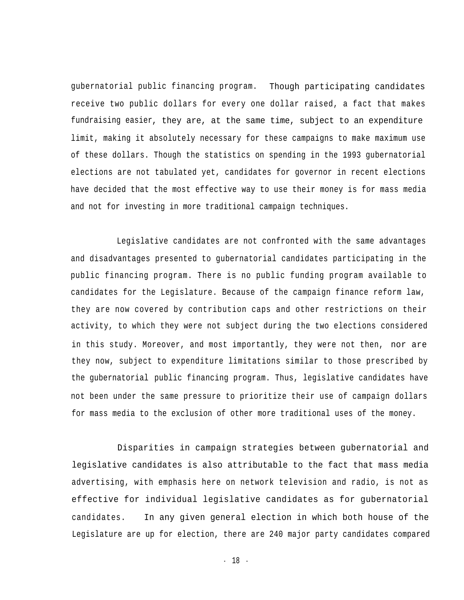gubernatorial public financing program. Though participating candidates receive two public dollars for every one dollar raised, a fact that makes fundraising easier, they are, at the same time, subject to an expenditure limit, making it absolutely necessary for these campaigns to make maximum use of these dollars. Though the statistics on spending in the 1993 gubernatorial elections are not tabulated yet, candidates for governor in recent elections have decided that the most effective way to use their money is for mass media and not for investing in more traditional campaign techniques.

Legislative candidates are not confronted with the same advantages and disadvantages presented to gubernatorial candidates participating in the public financing program. There is no public funding program available to candidates for the Legislature. Because of the campaign finance reform law, they are now covered by contribution caps and other restrictions on their activity, to which they were not subject during the two elections considered in this study. Moreover, and most importantly, they were not then, nor are they now, subject to expenditure limitations similar to those prescribed by the gubernatorial public financing program. Thus, legislative candidates have not been under the same pressure to prioritize their use of campaign dollars for mass media to the exclusion of other more traditional uses of the money.

Disparities in campaign strategies between gubernatorial and legislative candidates is also attributable to the fact that mass media advertising, with emphasis here on network television and radio, is not as effective for individual legislative candidates as for gubernatorial candidates. In any given general election in which both house of the Legislature are up for election, there are 240 major party candidates compared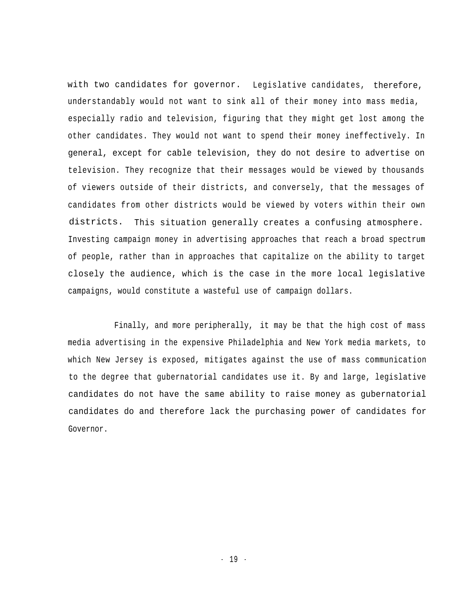with two candidates for governor. Legislative candidates, therefore, understandably would not want to sink all of their money into mass media, especially radio and television, figuring that they might get lost among the other candidates. They would not want to spend their money ineffectively. In general, except for cable television, they do not desire to advertise on television. They recognize that their messages would be viewed by thousands of viewers outside of their districts, and conversely, that the messages of candidates from other districts would be viewed by voters within their own districts. This situation generally creates a confusing atmosphere. Investing campaign money in advertising approaches that reach a broad spectrum of people, rather than in approaches that capitalize on the ability to target closely the audience, which is the case in the more local legislative campaigns, would constitute a wasteful use of campaign dollars.

Finally, and more peripherally, it may be that the high cost of mass media advertising in the expensive Philadelphia and New York media markets, to which New Jersey is exposed, mitigates against the use of mass communication to the degree that gubernatorial candidates use it. By and large, legislative candidates do not have the same ability to raise money as gubernatorial candidates do and therefore lack the purchasing power of candidates for Governor.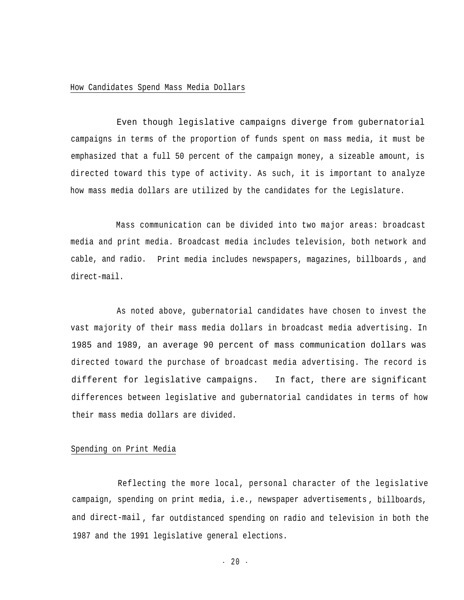#### How Candidates Spend Mass Media Dollars

Even though legislative campaigns diverge from gubernatorial campaigns in terms of the proportion of funds spent on mass media, it must be emphasized that a full 50 percent of the campaign money, a sizeable amount, is directed toward this type of activity. As such, it is important to analyze how mass media dollars are utilized by the candidates for the Legislature.

Mass communication can be divided into two major areas: broadcast media and print media. Broadcast media includes television, both network and cable, and radio. Print media includes newspapers, magazines, billboards , and direct-mail.

As noted above, gubernatorial candidates have chosen to invest the vast majority of their mass media dollars in broadcast media advertising. In 1985 and 1989, an average 90 percent of mass communication dollars was directed toward the purchase of broadcast media advertising. The record is different for legislative campaigns. In fact, there are significant differences between legislative and gubernatorial candidates in terms of how their mass media dollars are divided.

#### Spending on Print Media

Reflecting the more local, personal character of the legislative campaign, spending on print media, i.e., newspaper advertisements , billboards, and direct-mail , far outdistanced spending on radio and television in both the 1987 and the 1991 legislative general elections.

 $-20 -$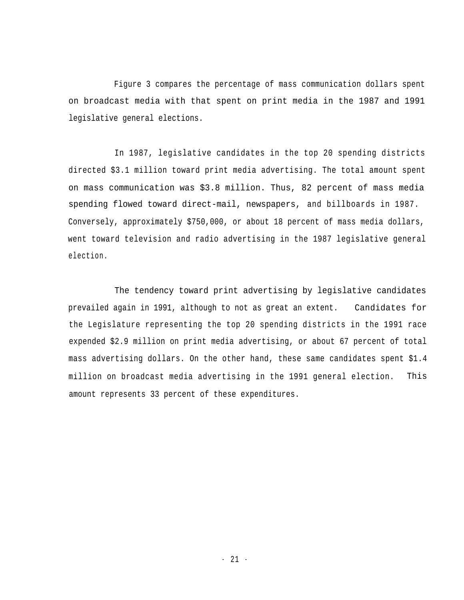Figure 3 compares the percentage of mass communication dollars spent on broadcast media with that spent on print media in the 1987 and 1991 legislative general elections.

In 1987, legislative candidates in the top 20 spending districts directed \$3.1 million toward print media advertising. The total amount spent on mass communication was \$3.8 million. Thus, 82 percent of mass media spending flowed toward direct-mail, newspapers, and billboards in 1987. Conversely, approximately \$750,000, or about 18 percent of mass media dollars, went toward television and radio advertising in the 1987 legislative general election.

The tendency toward print advertising by legislative candidates prevailed again in 1991, although to not as great an extent. Candidates for the Legislature representing the top 20 spending districts in the 1991 race expended \$2.9 million on print media advertising, or about 67 percent of total mass advertising dollars. On the other hand, these same candidates spent \$1.4 million on broadcast media advertising in the 1991 general election. This amount represents 33 percent of these expenditures.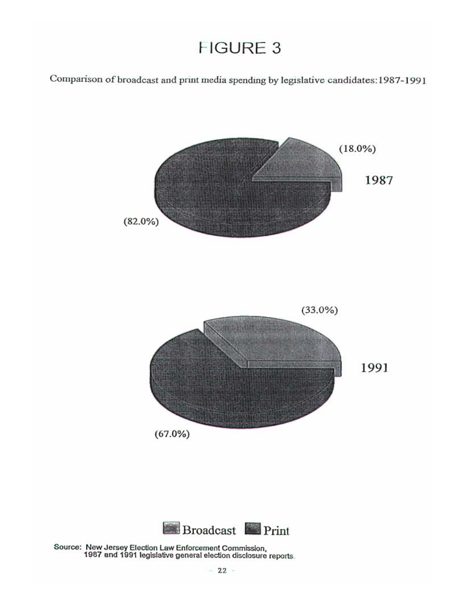### **FIGURE 3**

Comparison of broadcast and print media spending by legislative candidates: 1987-1991



Source: New Jersey Election Law Enforcement Commission,<br>1987 and 1991 legislative general election disclosure reports.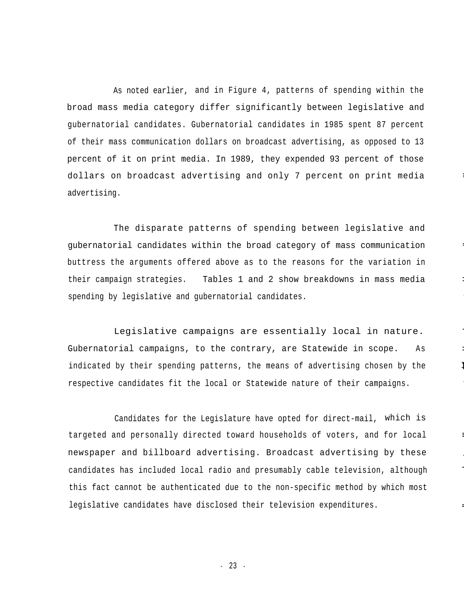As noted earlier, and in Figure 4, patterns of spending within the broad mass media category differ significantly between legislative and gubernatorial candidates. Gubernatorial candidates in 1985 spent 87 percent of their mass communication dollars on broadcast advertising, as opposed to 13 percent of it on print media. In 1989, they expended 93 percent of those dollars on broadcast advertising and only 7 percent on print media advertising.

---

---

-

--

The disparate patterns of spending between legislative and gubernatorial candidates within the broad category of mass communication buttress the arguments offered above as to the reasons for the variation in their campaign strategies. Tables 1 and 2 show breakdowns in mass media spending by legislative and gubernatorial candidates.

Legislative campaigns are essentially local in nature. Gubernatorial campaigns, to the contrary, are Statewide in scope. As indicated by their spending patterns, the means of advertising chosen by the respective candidates fit the local or Statewide nature of their campaigns.

Candidates for the Legislature have opted for direct-mail, which is targeted and personally directed toward households of voters, and for local newspaper and billboard advertising. Broadcast advertising by these candidates has included local radio and presumably cable television, although this fact cannot be authenticated due to the non-specific method by which most legislative candidates have disclosed their television expenditures.

- 23 -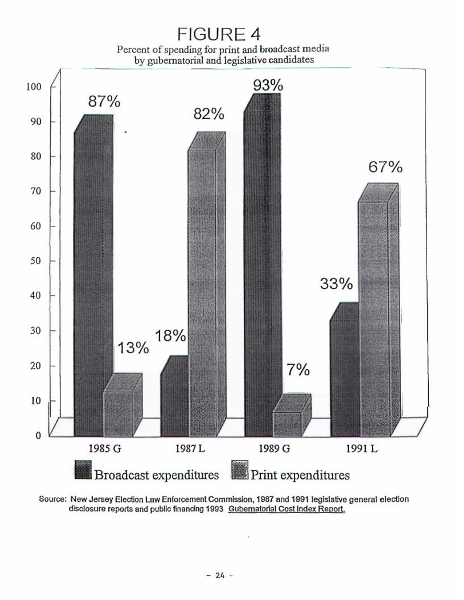

Source: New Jersey Election Law Enforcement Commission, 1987 and 1991 legislative general election disclosure reports and public financing 1993 Gubernatorial Cost Index Report.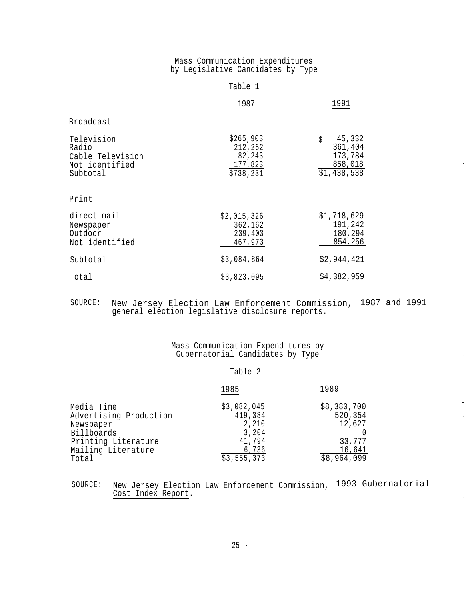#### Mass Communication Expenditures by Legislative Candidates by Type

|                                                                       | Table 1                                                |                                                                     |  |
|-----------------------------------------------------------------------|--------------------------------------------------------|---------------------------------------------------------------------|--|
|                                                                       | 1987                                                   | 1991                                                                |  |
| Broadcast                                                             |                                                        |                                                                     |  |
| Television<br>Radio<br>Cable Television<br>Not identified<br>Subtotal | \$265,903<br>212,262<br>82,243<br>177,823<br>\$738,231 | 45,332<br>\$<br>361,404<br>173,784<br><u>858,018</u><br>\$1,438,538 |  |
| Print                                                                 |                                                        |                                                                     |  |
| direct-mail<br>Newspaper<br>Outdoor<br>Not identified                 | \$2,015,326<br>362,162<br>239,403<br>467,973           | \$1,718,629<br>191,242<br>180,294<br>854,256                        |  |
| Subtotal                                                              | \$3,084,864                                            | \$2,944,421                                                         |  |
| Total                                                                 | \$3,823,095                                            | \$4,382,959                                                         |  |

#### SOURCE: New Jersey Election Law Enforcement Commission, 1987 and 1991 general election legislative disclosure reports.

#### Mass Communication Expenditures by Gubernatorial Candidates by Type

| an. |
|-----|
|-----|

|                        | 1985        | 1989        |  |
|------------------------|-------------|-------------|--|
| Media Time             | \$3,082,045 | \$8,380,700 |  |
| Advertising Production | 419,384     | 520,354     |  |
| Newspaper              | 2,210       | 12,627      |  |
| Billboards             | 3,204       |             |  |
| Printing Literature    | 41,794      | 33,777      |  |
| Mailing Literature     | 6,736       | 16,641      |  |
| Total                  | \$3,555,373 | \$8,964,099 |  |

SOURCE: New Jersey Election Law Enforcement Commission, 1993 Gubernatorial Cost Index Report.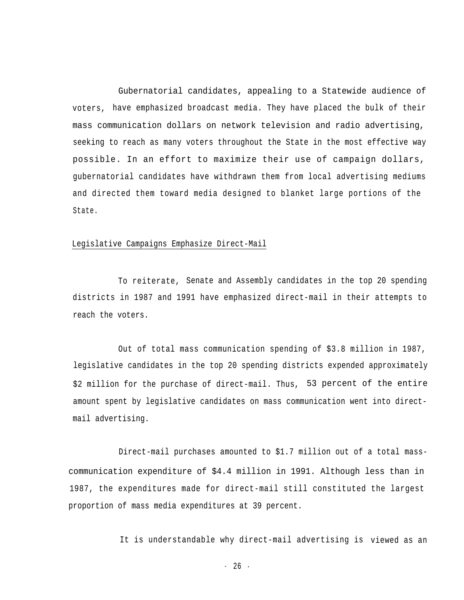Gubernatorial candidates, appealing to a Statewide audience of voters, have emphasized broadcast media. They have placed the bulk of their mass communication dollars on network television and radio advertising, seeking to reach as many voters throughout the State in the most effective way possible. In an effort to maximize their use of campaign dollars, gubernatorial candidates have withdrawn them from local advertising mediums and directed them toward media designed to blanket large portions of the State.

#### Legislative Campaigns Emphasize Direct-Mail

To reiterate, Senate and Assembly candidates in the top 20 spending districts in 1987 and 1991 have emphasized direct-mail in their attempts to reach the voters.

Out of total mass communication spending of \$3.8 million in 1987, legislative candidates in the top 20 spending districts expended approximately \$2 million for the purchase of direct-mail. Thus, 53 percent of the entire amount spent by legislative candidates on mass communication went into directmail advertising.

Direct-mail purchases amounted to \$1.7 million out of a total masscommunication expenditure of \$4.4 million in 1991. Although less than in 1987, the expenditures made for direct-mail still constituted the largest proportion of mass media expenditures at 39 percent.

It is understandable why direct-mail advertising is viewed as an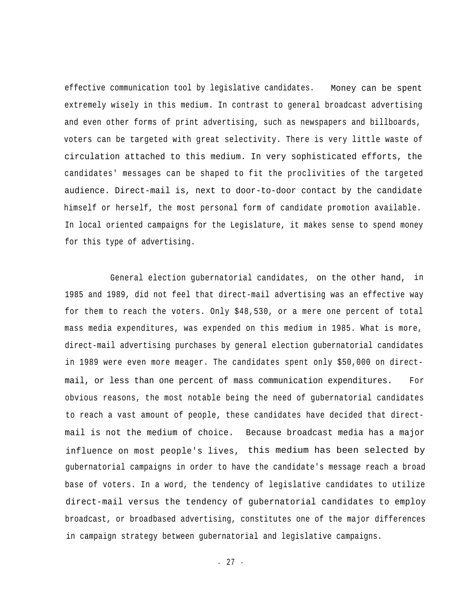effective communication tool by legislative candidates. Money can be spent extremely wisely in this medium. In contrast to general broadcast advertising and even other forms of print advertising, such as newspapers and billboards, voters can be targeted with great selectivity. There is very little waste of circulation attached to this medium. In very sophisticated efforts, the candidates' messages can be shaped to fit the proclivities of the targeted audience. Direct-mail is, next to door-to-door contact by the candidate himself or herself, the most personal form of candidate promotion available. In local oriented campaigns for the Legislature, it makes sense to spend money for this type of advertising.

General election gubernatorial candidates, on the other hand, in 1985 and 1989, did not feel that direct-mail advertising was an effective way for them to reach the voters. Only \$48,530, or a mere one percent of total mass media expenditures, was expended on this medium in 1985. What is more, direct-mail advertising purchases by general election gubernatorial candidates in 1989 were even more meager. The candidates spent only \$50,000 on directmail, or less than one percent of mass communication expenditures. For obvious reasons, the most notable being the need of gubernatorial candidates to reach a vast amount of people, these candidates have decided that directmail is not the medium of choice. Because broadcast media has a major influence on most people's lives, this medium has been selected by gubernatorial campaigns in order to have the candidate's message reach a broad base of voters. In a word, the tendency of legislative candidates to utilize direct-mail versus the tendency of gubernatorial candidates to employ broadcast, or broadbased advertising, constitutes one of the major differences in campaign strategy between gubernatorial and legislative campaigns.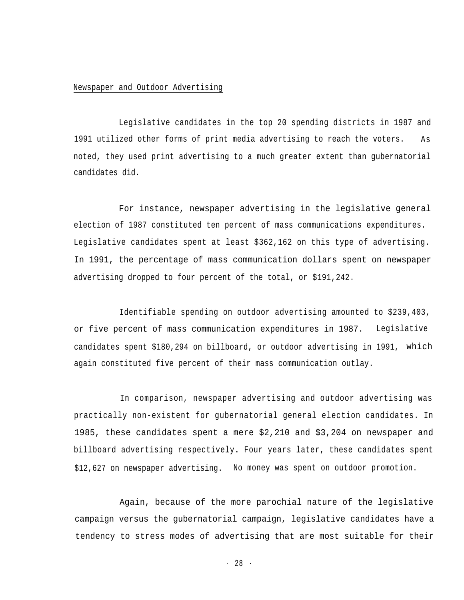#### Newspaper and Outdoor Advertising

Legislative candidates in the top 20 spending districts in 1987 and 1991 utilized other forms of print media advertising to reach the voters. As noted, they used print advertising to a much greater extent than gubernatorial candidates did.

For instance, newspaper advertising in the legislative general election of 1987 constituted ten percent of mass communications expenditures. Legislative candidates spent at least \$362,162 on this type of advertising. In 1991, the percentage of mass communication dollars spent on newspaper advertising dropped to four percent of the total, or \$191,242.

Identifiable spending on outdoor advertising amounted to \$239,403, or five percent of mass communication expenditures in 1987. Legislative candidates spent \$180,294 on billboard, or outdoor advertising in 1991, which again constituted five percent of their mass communication outlay.

In comparison, newspaper advertising and outdoor advertising was practically non-existent for gubernatorial general election candidates. In 1985, these candidates spent a mere \$2,210 and \$3,204 on newspaper and billboard advertising respectively**.** Four years later, these candidates spent \$12,627 on newspaper advertising. No money was spent on outdoor promotion.

Again, because of the more parochial nature of the legislative campaign versus the gubernatorial campaign, legislative candidates have a tendency to stress modes of advertising that are most suitable for their

- 28 -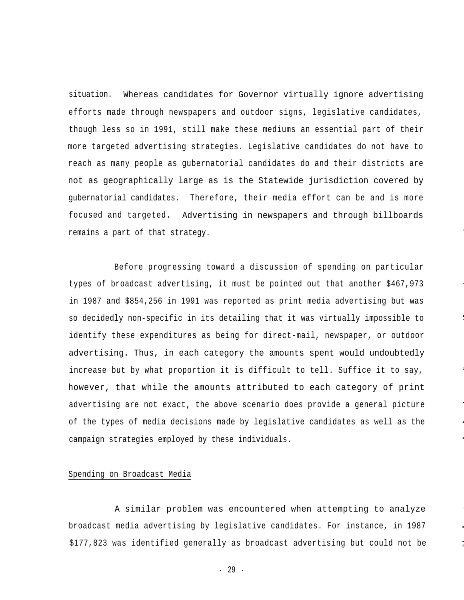situation. Whereas candidates for Governor virtually ignore advertising efforts made through newspapers and outdoor signs, legislative candidates, though less so in 1991, still make these mediums an essential part of their more targeted advertising strategies. Legislative candidates do not have to reach as many people as gubernatorial candidates do and their districts are not as geographically large as is the Statewide jurisdiction covered by gubernatorial candidates. Therefore, their media effort can be and is more focused and targeted. Advertising in newspapers and through billboards remains a part of that strategy.

Before progressing toward a discussion of spending on particular types of broadcast advertising, it must be pointed out that another \$467,973 in 1987 and \$854,256 in 1991 was reported as print media advertising but was so decidedly non-specific in its detailing that it was virtually impossible to identify these expenditures as being for direct-mail, newspaper, or outdoor advertising. Thus, in each category the amounts spent would undoubtedly increase but by what proportion it is difficult to tell. Suffice it to say, however, that while the amounts attributed to each category of print advertising are not exact, the above scenario does provide a general picture of the types of media decisions made by legislative candidates as well as the campaign strategies employed by these individuals.

-

--

--

-

.-

--

<u>-</u><br>-

#### Spending on Broadcast Media

A similar problem was encountered when attempting to analyze broadcast media advertising by legislative candidates. For instance, in 1987  $$177,823$  was identified generally as broadcast advertising but could not be

- 29 -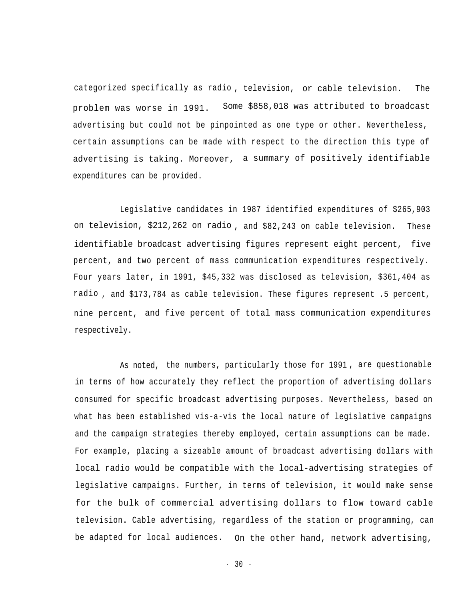categorized specifically as radio , television, or cable television. The problem was worse in 1991. Some \$858,018 was attributed to broadcast advertising but could not be pinpointed as one type or other. Nevertheless, certain assumptions can be made with respect to the direction this type of advertising is taking. Moreover, a summary of positively identifiable expenditures can be provided.

Legislative candidates in 1987 identified expenditures of \$265,903 on television, \$212,262 on radio , and \$82,243 on cable television. These identifiable broadcast advertising figures represent eight percent, five percent, and two percent of mass communication expenditures respectively. Four years later, in 1991, \$45,332 was disclosed as television, \$361,404 as radio , and \$173,784 as cable television. These figures represent .5 percent, nine percent, and five percent of total mass communication expenditures respectively.

As noted, the numbers, particularly those for 1991 , are questionable in terms of how accurately they reflect the proportion of advertising dollars consumed for specific broadcast advertising purposes. Nevertheless, based on what has been established vis-a-vis the local nature of legislative campaigns and the campaign strategies thereby employed, certain assumptions can be made. For example, placing a sizeable amount of broadcast advertising dollars with local radio would be compatible with the local-advertising strategies of legislative campaigns. Further, in terms of television, it would make sense for the bulk of commercial advertising dollars to flow toward cable television**.** Cable advertising, regardless of the station or programming, can be adapted for local audiences. On the other hand, network advertising,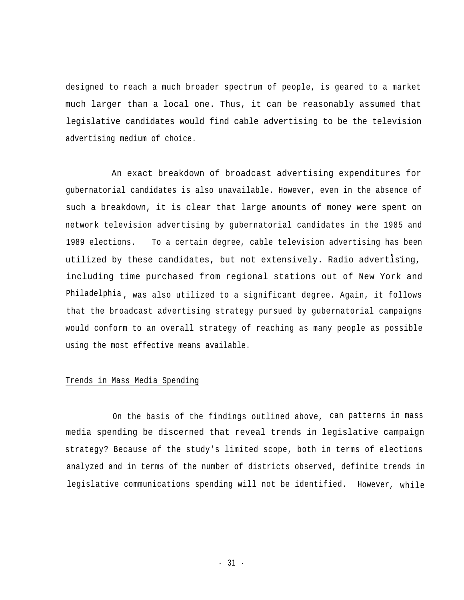designed to reach a much broader spectrum of people, is geared to a market much larger than a local one. Thus, it can be reasonably assumed that legislative candidates would find cable advertising to be the television advertising medium of choice.

An exact breakdown of broadcast advertising expenditures for gubernatorial candidates is also unavailable. However, even in the absence of such a breakdown, it is clear that large amounts of money were spent on network television advertising by gubernatorial candidates in the 1985 and 1989 elections. To a certain degree, cable television advertising has been • . utilized by these candidates, but not extensively. Radio advertising, including time purchased from regional stations out of New York and Philadelphia , was also utilized to a significant degree. Again, it follows that the broadcast advertising strategy pursued by gubernatorial campaigns would conform to an overall strategy of reaching as many people as possible using the most effective means available.

#### Trends in Mass Media Spending

On the basis of the findings outlined above, can patterns in mass media spending be discerned that reveal trends in legislative campaign strategy? Because of the study's limited scope, both in terms of elections analyzed and in terms of the number of districts observed, definite trends in legislative communications spending will not be identified. However, while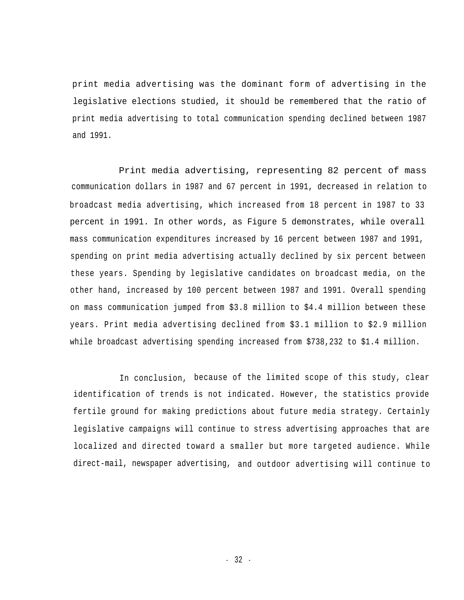print media advertising was the dominant form of advertising in the legislative elections studied, it should be remembered that the ratio of print media advertising to total communication spending declined between 1987 and 1991.

Print media advertising, representing 82 percent of mass communication dollars in 1987 and 67 percent in 1991, decreased in relation to broadcast media advertising, which increased from 18 percent in 1987 to 33 percent in 1991. In other words, as Figure 5 demonstrates, while overall mass communication expenditures increased by 16 percent between 1987 and 1991, spending on print media advertising actually declined by six percent between these years. Spending by legislative candidates on broadcast media, on the other hand, increased by 100 percent between 1987 and 1991. Overall spending on mass communication jumped from \$3.8 million to \$4.4 million between these years. Print media advertising declined from \$3.1 million to \$2.9 million while broadcast advertising spending increased from \$738,232 to \$1.4 million.

In conclusion, because of the limited scope of this study, clear identification of trends is not indicated. However, the statistics provide fertile ground for making predictions about future media strategy. Certainly legislative campaigns will continue to stress advertising approaches that are localized and directed toward a smaller but more targeted audience. While direct-mail, newspaper advertising, and outdoor advertising will continue to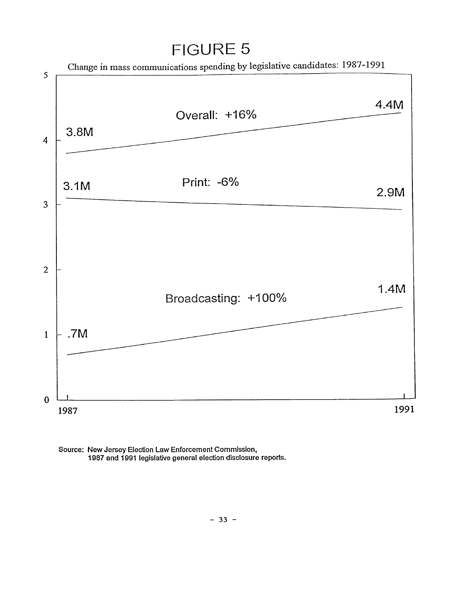### **FIGURE 5**



Source: New Jersey Election Law Enforcement Commission, 1987 and 1991 legislative general election disclosure reports.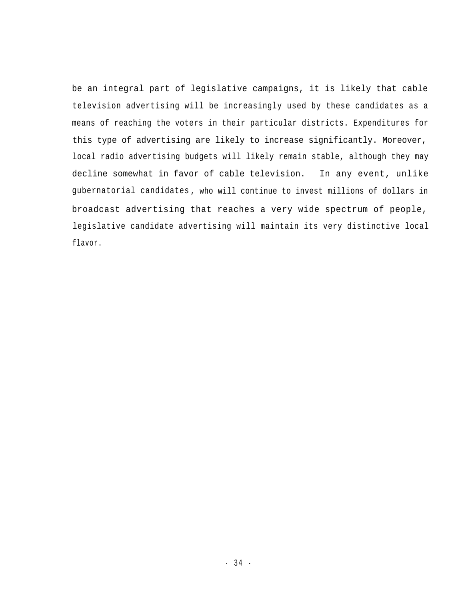be an integral part of legislative campaigns, it is likely that cable television advertising will be increasingly used by these candidates as a means of reaching the voters in their particular districts. Expenditures for this type of advertising are likely to increase significantly. Moreover, local radio advertising budgets will likely remain stable, although they may decline somewhat in favor of cable television. In any event, unlike gubernatorial candidates , who will continue to invest millions of dollars in broadcast advertising that reaches a very wide spectrum of people, legislative candidate advertising will maintain its very distinctive local flavor.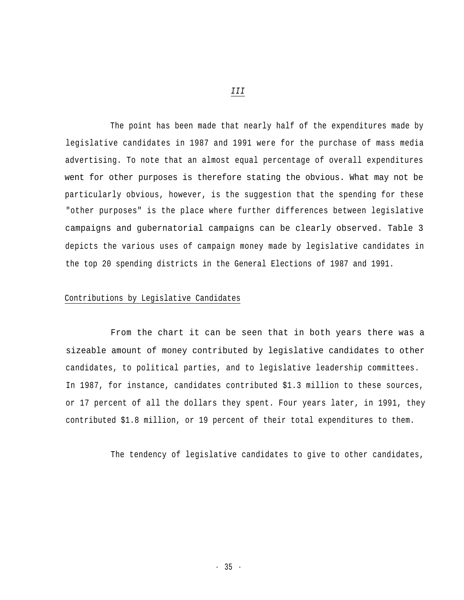The point has been made that nearly half of the expenditures made by legislative candidates in 1987 and 1991 were for the purchase of mass media advertising. To note that an almost equal percentage of overall expenditures went for other purposes is therefore stating the obvious. What may not be particularly obvious, however, is the suggestion that the spending for these "other purposes" is the place where further differences between legislative campaigns and gubernatorial campaigns can be clearly observed. Table 3 depicts the various uses of campaign money made by legislative candidates in the top 20 spending districts in the General Elections of 1987 and 1991.

#### Contributions by Legislative Candidates

From the chart it can be seen that in both years there was a sizeable amount of money contributed by legislative candidates to other candidates, to political parties, and to legislative leadership committees. In 1987, for instance, candidates contributed \$1.3 million to these sources, or 17 percent of all the dollars they spent. Four years later, in 1991, they contributed \$1.8 million, or 19 percent of their total expenditures to them.

The tendency of legislative candidates to give to other candidates,

*III*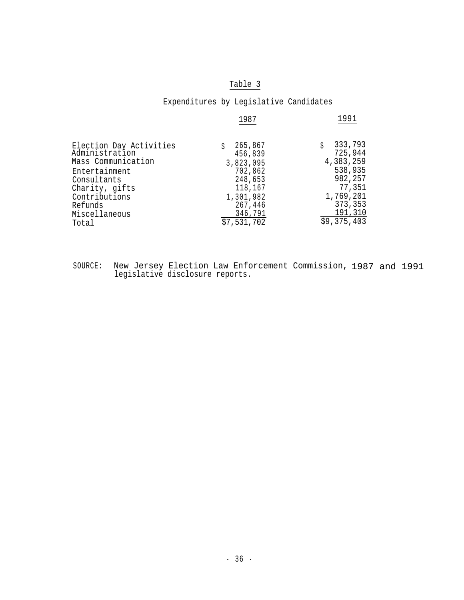#### Table 3

#### Expenditures by Legislative Candidates

|                                                                                                                                                                         | 1987                                                                                                               | 1991                                                                                                              |
|-------------------------------------------------------------------------------------------------------------------------------------------------------------------------|--------------------------------------------------------------------------------------------------------------------|-------------------------------------------------------------------------------------------------------------------|
| Election Day Activities<br>Administration<br>Mass Communication<br>Entertainment<br>Consultants<br>Charity, gifts<br>Contributions<br>Refunds<br>Miscellaneous<br>Total | 265,867<br>456,839<br>3,823,095<br>702,862<br>248,653<br>118,167<br>1,301,982<br>267,446<br>346,791<br>\$7,531,702 | 333,793<br>725,944<br>4,383,259<br>538,935<br>982,257<br>77,351<br>1,769,201<br>373,353<br>191,310<br>\$9,375,403 |
|                                                                                                                                                                         |                                                                                                                    |                                                                                                                   |

SOURCE: New Jersey Election Law Enforcement Commission, 1987 and 1991 legislative disclosure reports.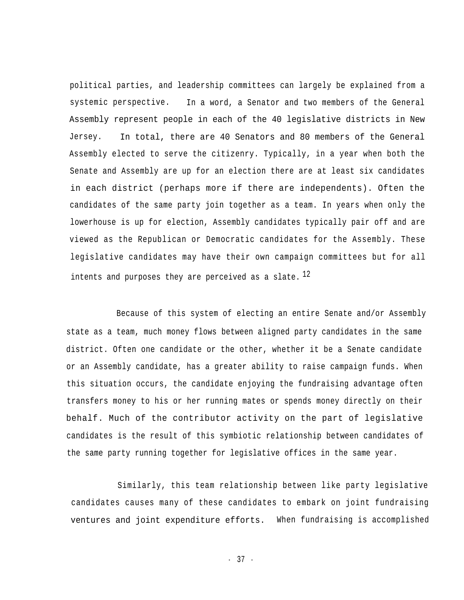political parties, and leadership committees can largely be explained from a systemic perspective. In a word, a Senator and two members of the General Assembly represent people in each of the 40 legislative districts in New Jersey. In total, there are 40 Senators and 80 members of the General Assembly elected to serve the citizenry. Typically, in a year when both the Senate and Assembly are up for an election there are at least six candidates in each district (perhaps more if there are independents). Often the candidates of the same party join together as a team. In years when only the lowerhouse is up for election, Assembly candidates typically pair off and are viewed as the Republican or Democratic candidates for the Assembly. These legislative candidates may have their own campaign committees but for all intents and purposes they are perceived as a slate.  $^{12}$ 

Because of this system of electing an entire Senate and/or Assembly state as a team, much money flows between aligned party candidates in the same district. Often one candidate or the other, whether it be a Senate candidate or an Assembly candidate, has a greater ability to raise campaign funds. When this situation occurs, the candidate enjoying the fundraising advantage often transfers money to his or her running mates or spends money directly on their behalf. Much of the contributor activity on the part of legislative candidates is the result of this symbiotic relationship between candidates of the same party running together for legislative offices in the same year.

Similarly, this team relationship between like party legislative candidates causes many of these candidates to embark on joint fundraising ventures and joint expenditure efforts. When fundraising is accomplished

- 37 -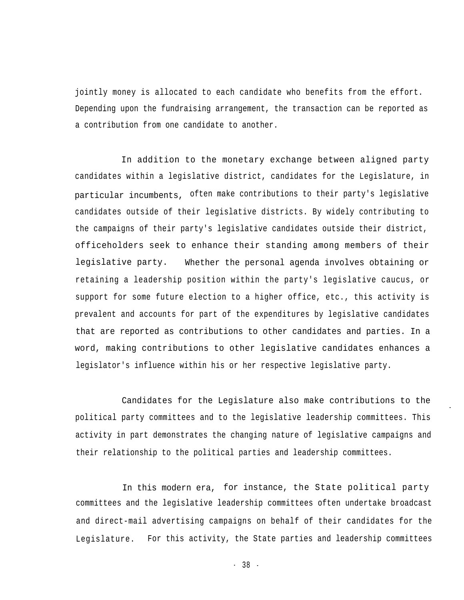jointly money is allocated to each candidate who benefits from the effort. Depending upon the fundraising arrangement, the transaction can be reported as a contribution from one candidate to another.

In addition to the monetary exchange between aligned party candidates within a legislative district, candidates for the Legislature, in particular incumbents, often make contributions to their party's legislative candidates outside of their legislative districts. By widely contributing to the campaigns of their party's legislative candidates outside their district, officeholders seek to enhance their standing among members of their legislative party. Whether the personal agenda involves obtaining or retaining a leadership position within the party's legislative caucus, or support for some future election to a higher office, etc., this activity is prevalent and accounts for part of the expenditures by legislative candidates that are reported as contributions to other candidates and parties. In a word, making contributions to other legislative candidates enhances a legislator's influence within his or her respective legislative party.

Candidates for the Legislature also make contributions to the political party committees and to the legislative leadership committees. This activity in part demonstrates the changing nature of legislative campaigns and their relationship to the political parties and leadership committees.

-

In this modern era, for instance, the State political party committees and the legislative leadership committees often undertake broadcast and direct-mail advertising campaigns on behalf of their candidates for the Legislature. For this activity, the State parties and leadership committees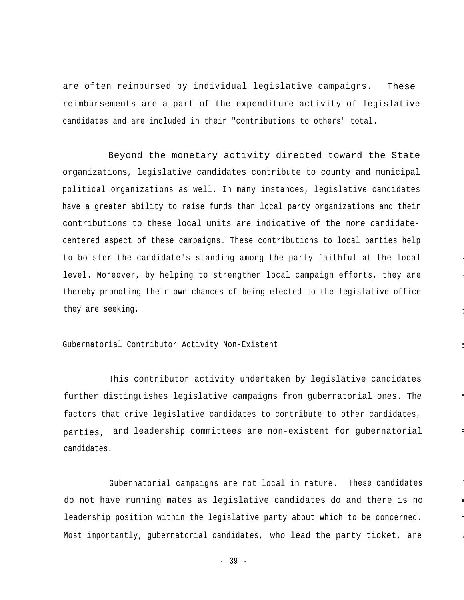are often reimbursed by individual legislative campaigns. These reimbursements are a part of the expenditure activity of legislative candidates and are included in their "contributions to others" total.

Beyond the monetary activity directed toward the State organizations, legislative candidates contribute to county and municipal political organizations as well. In many instances, legislative candidates have a greater ability to raise funds than local party organizations and their contributions to these local units are indicative of the more candidatecentered aspect of these campaigns. These contributions to local parties help to bolster the candidate's standing among the party faithful at the local level. Moreover, by helping to strengthen local campaign efforts, they are thereby promoting their own chances of being elected to the legislative office they are seeking.

--

.

-.

#### Gubernatorial Contributor Activity Non-Existent

This contributor activity undertaken by legislative candidates further distinguishes legislative campaigns from gubernatorial ones. The factors that drive legislative candidates to contribute to other candidates, parties, and leadership committees are non-existent for gubernatorial candidates**.**

Gubernatorial campaigns are not local in nature. These candidates do not have running mates as legislative candidates do and there is no leadership position within the legislative party about which to be concerned. Most importantly, gubernatorial candidates, who lead the party ticket, are

- 39 -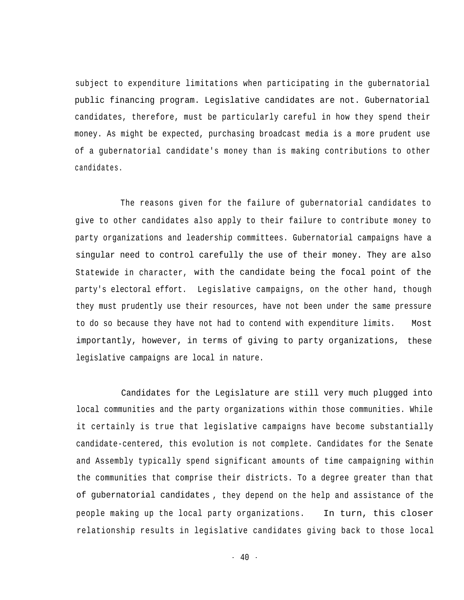subject to expenditure limitations when participating in the gubernatorial public financing program. Legislative candidates are not. Gubernatorial candidates, therefore, must be particularly careful in how they spend their money. As might be expected, purchasing broadcast media is a more prudent use of a gubernatorial candidate's money than is making contributions to other candidates.

The reasons given for the failure of gubernatorial candidates to give to other candidates also apply to their failure to contribute money to party organizations and leadership committees. Gubernatorial campaigns have a singular need to control carefully the use of their money. They are also Statewide in character, with the candidate being the focal point of the party's electoral effort. Legislative campaigns, on the other hand, though they must prudently use their resources, have not been under the same pressure to do so because they have not had to contend with expenditure limits. importantly, however, in terms of giving to party organizations, these legislative campaigns are local in nature. Most

Candidates for the Legislature are still very much plugged into local communities and the party organizations within those communities. While it certainly is true that legislative campaigns have become substantially candidate-centered, this evolution is not complete. Candidates for the Senate and Assembly typically spend significant amounts of time campaigning within the communities that comprise their districts. To a degree greater than that of gubernatorial candidates , they depend on the help and assistance of the people making up the local party organizations. In turn, this closer relationship results in legislative candidates giving back to those local

- 40 -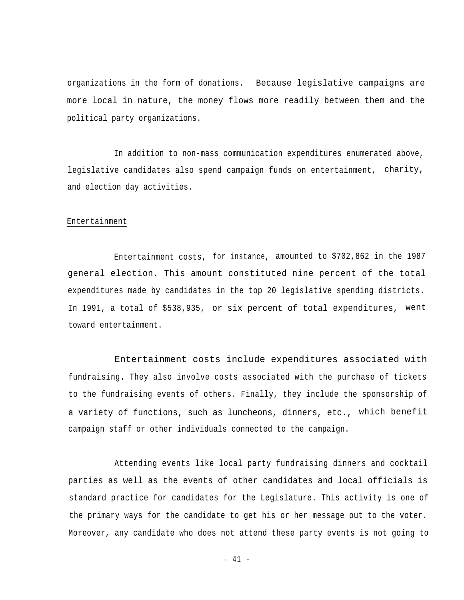organizations in the form of donations. Because legislative campaigns are more local in nature, the money flows more readily between them and the political party organizations.

In addition to non-mass communication expenditures enumerated above, legislative candidates also spend campaign funds on entertainment, charity, and election day activities.

#### Entertainment

Entertainment costs, for instance, amounted to \$702,862 in the 1987 general election. This amount constituted nine percent of the total expenditures made by candidates in the top 20 legislative spending districts. In 1991, a total of \$538,935, or six percent of total expenditures, went toward entertainment.

Entertainment costs include expenditures associated with fundraising. They also involve costs associated with the purchase of tickets to the fundraising events of others. Finally, they include the sponsorship of a variety of functions, such as luncheons, dinners, etc., which benefit campaign staff or other individuals connected to the campaign.

Attending events like local party fundraising dinners and cocktail parties as well as the events of other candidates and local officials is standard practice for candidates for the Legislature. This activity is one of the primary ways for the candidate to get his or her message out to the voter. Moreover, any candidate who does not attend these party events is not going to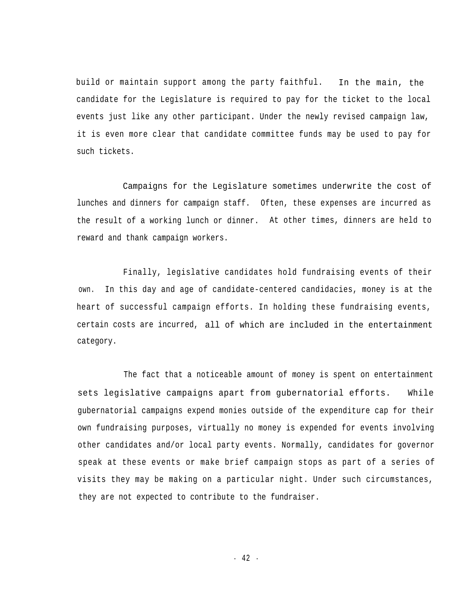build or maintain support among the party faithful. In the main, the candidate for the Legislature is required to pay for the ticket to the local events just like any other participant. Under the newly revised campaign law, it is even more clear that candidate committee funds may be used to pay for such tickets.

Campaigns for the Legislature sometimes underwrite the cost of lunches and dinners for campaign staff. Often, these expenses are incurred as the result of a working lunch or dinner. At other times, dinners are held to reward and thank campaign workers.

Finally, legislative candidates hold fundraising events of their own. In this day and age of candidate-centered candidacies, money is at the heart of successful campaign efforts. In holding these fundraising events, certain costs are incurred, all of which are included in the entertainment category.

The fact that a noticeable amount of money is spent on entertainment sets legislative campaigns apart from gubernatorial efforts. While gubernatorial campaigns expend monies outside of the expenditure cap for their own fundraising purposes, virtually no money is expended for events involving other candidates and/or local party events. Normally, candidates for governor speak at these events or make brief campaign stops as part of a series of visits they may be making on a particular night. Under such circumstances, they are not expected to contribute to the fundraiser.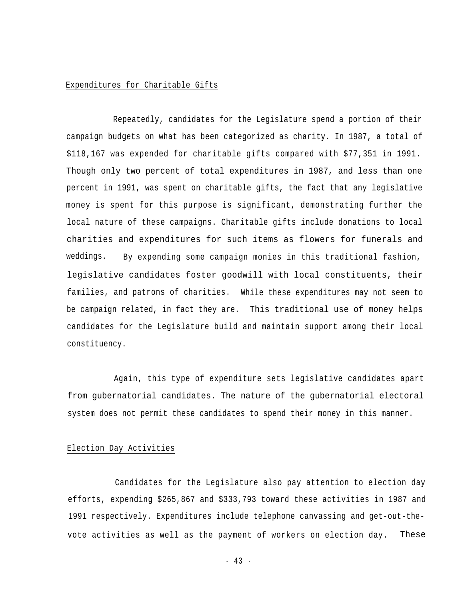#### Expenditures for Charitable Gifts

Repeatedly, candidates for the Legislature spend a portion of their campaign budgets on what has been categorized as charity. In 1987, a total of \$118,167 was expended for charitable gifts compared with \$77,351 in 1991. Though only two percent of total expenditures in 1987, and less than one percent in 1991, was spent on charitable gifts, the fact that any legislative money is spent for this purpose is significant, demonstrating further the local nature of these campaigns. Charitable gifts include donations to local charities and expenditures for such items as flowers for funerals and weddings. By expending some campaign monies in this traditional fashion, legislative candidates foster goodwill with local constituents, their families, and patrons of charities. While these expenditures may not seem to be campaign related, in fact they are. This traditional use of money helps candidates for the Legislature build and maintain support among their local constituency.

Again, this type of expenditure sets legislative candidates apart from gubernatorial candidates. The nature of the gubernatorial electoral system does not permit these candidates to spend their money in this manner.

#### Election Day Activities

Candidates for the Legislature also pay attention to election day efforts, expending \$265,867 and \$333,793 toward these activities in 1987 and 1991 respectively. Expenditures include telephone canvassing and get-out-thevote activities as well as the payment of workers on election day. These

 $-43 -$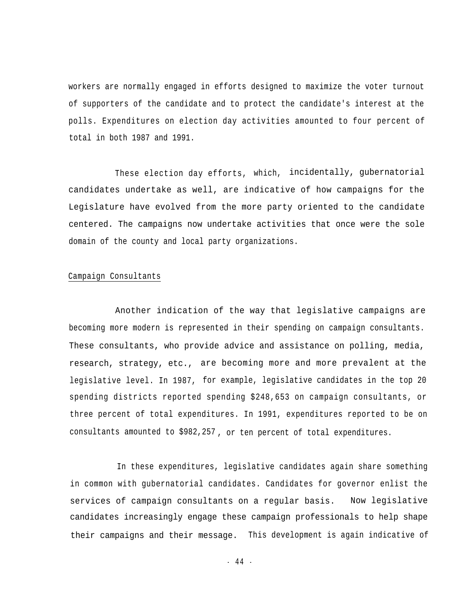workers are normally engaged in efforts designed to maximize the voter turnout of supporters of the candidate and to protect the candidate's interest at the polls. Expenditures on election day activities amounted to four percent of total in both 1987 and 1991.

These election day efforts, which, incidentally, gubernatorial candidates undertake as well, are indicative of how campaigns for the Legislature have evolved from the more party oriented to the candidate centered. The campaigns now undertake activities that once were the sole domain of the county and local party organizations.

#### Campaign Consultants

Another indication of the way that legislative campaigns are becoming more modern is represented in their spending on campaign consultants. These consultants, who provide advice and assistance on polling, media, research, strategy, etc., are becoming more and more prevalent at the legislative level. In 1987, for example, legislative candidates in the top 20 spending districts reported spending \$248,653 on campaign consultants, or three percent of total expenditures. In 1991, expenditures reported to be on consultants amounted to \$982,257 , or ten percent of total expenditures.

In these expenditures, legislative candidates again share something in common with gubernatorial candidates. Candidates for governor enlist the services of campaign consultants on a regular basis. Now legislative candidates increasingly engage these campaign professionals to help shape their campaigns and their message. This development is again indicative of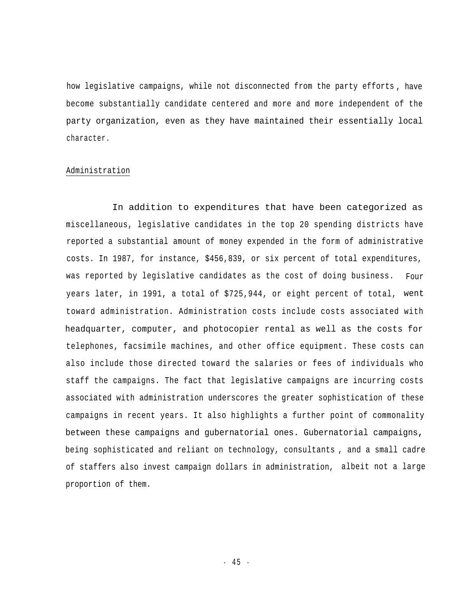how legislative campaigns, while not disconnected from the party efforts , have become substantially candidate centered and more and more independent of the party organization, even as they have maintained their essentially local character.

#### Administration

In addition to expenditures that have been categorized as miscellaneous, legislative candidates in the top 20 spending districts have reported a substantial amount of money expended in the form of administrative costs. In 1987, for instance, \$456,839, or six percent of total expenditures, was reported by legislative candidates as the cost of doing business. Four years later, in 1991, a total of \$725,944, or eight percent of total, went toward administration. Administration costs include costs associated with headquarter, computer, and photocopier rental as well as the costs for telephones, facsimile machines, and other office equipment. These costs can also include those directed toward the salaries or fees of individuals who staff the campaigns. The fact that legislative campaigns are incurring costs associated with administration underscores the greater sophistication of these campaigns in recent years. It also highlights a further point of commonality between these campaigns and gubernatorial ones. Gubernatorial campaigns**,** being sophisticated and reliant on technology, consultants , and a small cadre of staffers also invest campaign dollars in administration, albeit not a large proportion of them.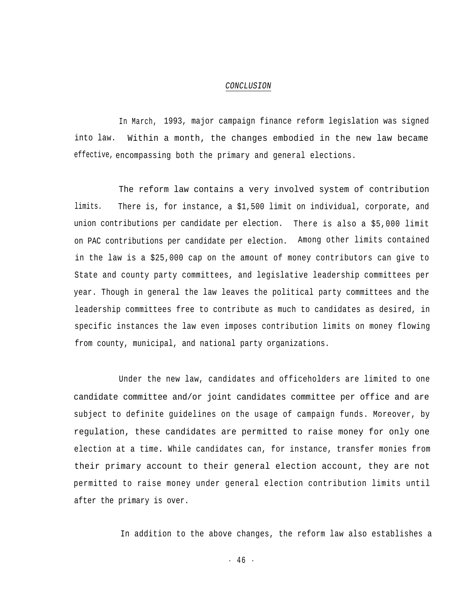#### *CONCLUSION*

In March, 1993, major campaign finance reform legislation was signed into law. Within a month, the changes embodied in the new law became effective, encompassing both the primary and general elections.

The reform law contains a very involved system of contribution limits. There is, for instance, a \$1,500 limit on individual, corporate, and union contributions per candidate per election. There is also a \$5,000 limit on PAC contributions per candidate per election. Among other limits contained in the law is a \$25,000 cap on the amount of money contributors can give to State and county party committees, and legislative leadership committees per year. Though in general the law leaves the political party committees and the leadership committees free to contribute as much to candidates as desired, in specific instances the law even imposes contribution limits on money flowing from county, municipal, and national party organizations.

Under the new law, candidates and officeholders are limited to one candidate committee and/or joint candidates committee per office and are subject to definite guidelines on the usage of campaign funds. Moreover, by regulation, these candidates are permitted to raise money for only one election at a time**.** While candidates can, for instance, transfer monies from their primary account to their general election account, they are not permitted to raise money under general election contribution limits until after the primary is over.

In addition to the above changes, the reform law also establishes a

 $-46 -$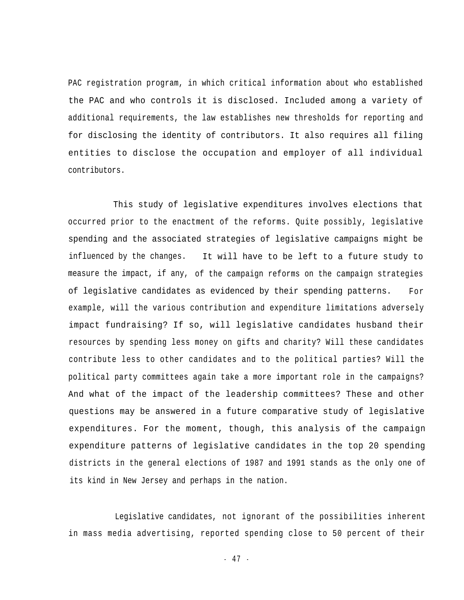PAC registration program, in which critical information about who established the PAC and who controls it is disclosed. Included among a variety of additional requirements, the law establishes new thresholds for reporting and for disclosing the identity of contributors. It also requires all filing entities to disclose the occupation and employer of all individual contributors.

This study of legislative expenditures involves elections that occurred prior to the enactment of the reforms. Quite possibly, legislative spending and the associated strategies of legislative campaigns might be influenced by the changes. measure the impact, if any, of the campaign reforms on the campaign strategies It will have to be left to a future study to of legislative candidates as evidenced by their spending patterns. For example, will the various contribution and expenditure limitations adversely impact fundraising? If so, will legislative candidates husband their resources by spending less money on gifts and charity? Will these candidates contribute less to other candidates and to the political parties? Will the political party committees again take a more important role in the campaigns? And what of the impact of the leadership committees? These and other questions may be answered in a future comparative study of legislative expenditures. For the moment, though, this analysis of the campaign expenditure patterns of legislative candidates in the top 20 spending districts in the general elections of 1987 and 1991 stands as the only one of its kind in New Jersey and perhaps in the nation.

Legislative candidates, not ignorant of the possibilities inherent in mass media advertising, reported spending close to 50 percent of their

- 4 7 -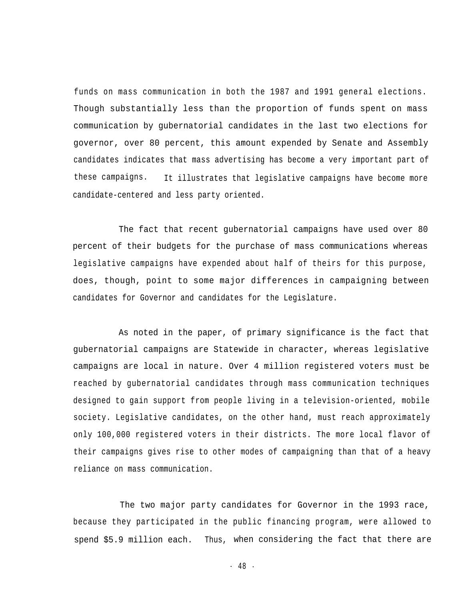funds on mass communication in both the 1987 and 1991 general elections. Though substantially less than the proportion of funds spent on mass communication by gubernatorial candidates in the last two elections for governor, over 80 percent, this amount expended by Senate and Assembly candidates indicates that mass advertising has become a very important part of these campaigns. It illustrates that legislative campaigns have become more candidate-centered and less party oriented.

The fact that recent gubernatorial campaigns have used over 80 percent of their budgets for the purchase of mass communications whereas legislative campaigns have expended about half of theirs for this purpose, does, though, point to some major differences in campaigning between candidates for Governor and candidates for the Legislature.

As noted in the paper, of primary significance is the fact that gubernatorial campaigns are Statewide in character, whereas legislative campaigns are local in nature. Over 4 million registered voters must be reached by gubernatorial candidates through mass communication techniques designed to gain support from people living in a television-oriented, mobile society. Legislative candidates, on the other hand, must reach approximately only 100,000 registered voters in their districts. The more local flavor of their campaigns gives rise to other modes of campaigning than that of a heavy reliance on mass communication.

The two major party candidates for Governor in the 1993 race, because they participated in the public financing program, were allowed to spend \$5.9 million each. Thus, when considering the fact that there are

- 48 -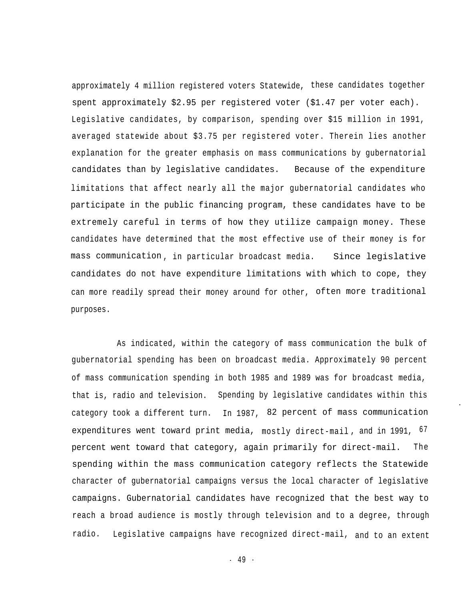approximately 4 million registered voters Statewide, these candidates together spent approximately \$2.95 per registered voter (\$1.47 per voter each). Legislative candidates, by comparison, spending over \$15 million in 1991, averaged statewide about \$3.75 per registered voter. Therein lies another explanation for the greater emphasis on mass communications by gubernatorial candidates than by legislative candidates. Because of the expenditure limitations that affect nearly all the major gubernatorial candidates who participate in the public financing program, these candidates have to be extremely careful in terms of how they utilize campaign money. These candidates have determined that the most effective use of their money is for mass communication , in particular broadcast media. Since legislative candidates do not have expenditure limitations with which to cope, they can more readily spread their money around for other, often more traditional purposes.

As indicated, within the category of mass communication the bulk of gubernatorial spending has been on broadcast media. Approximately 90 percent of mass communication spending in both 1985 and 1989 was for broadcast media, that is, radio and television. Spending by legislative candidates within this category took a different turn. In 1987, 82 percent of mass communication expenditures went toward print media, mostly direct-mail, and in 1991, <sup>67</sup> percent went toward that category, again primarily for direct-mail. The spending within the mass communication category reflects the Statewide character of gubernatorial campaigns versus the local character of legislative campaigns. Gubernatorial candidates have recognized that the best way to reach a broad audience is mostly through television and to a degree, through radio. Legislative campaigns have recognized direct-mail, and to an extent

-

- 49 -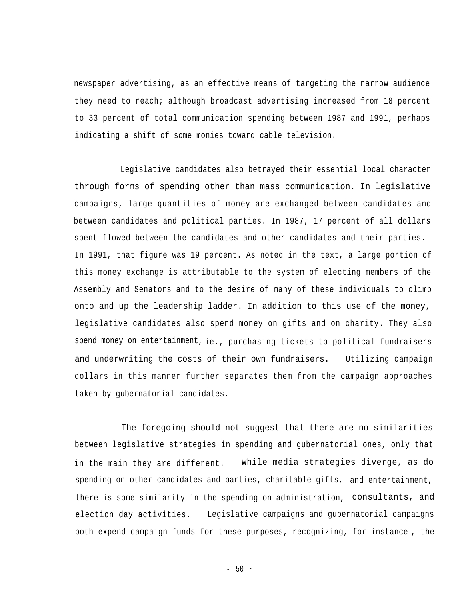newspaper advertising, as an effective means of targeting the narrow audience they need to reach; although broadcast advertising increased from 18 percent to 33 percent of total communication spending between 1987 and 1991, perhaps indicating a shift of some monies toward cable television.

Legislative candidates also betrayed their essential local character through forms of spending other than mass communication. In legislative campaigns, large quantities of money are exchanged between candidates and between candidates and political parties. In 1987, 17 percent of all dollars spent flowed between the candidates and other candidates and their parties. In 1991, that figure was 19 percent. As noted in the text, a large portion of this money exchange is attributable to the system of electing members of the Assembly and Senators and to the desire of many of these individuals to climb onto and up the leadership ladder. In addition to this use of the money, legislative candidates also spend money on gifts and on charity. They also spend money on entertainment, ie., purchasing tickets to political fundraisers and underwriting the costs of their own fundraisers. Utilizing campaign dollars in this manner further separates them from the campaign approaches taken by gubernatorial candidates.

The foregoing should not suggest that there are no similarities between legislative strategies in spending and gubernatorial ones, only that in the main they are different. While media strategies diverge, as do spending on other candidates and parties, charitable gifts, and entertainment, there is some similarity in the spending on administration, consultants, and election day activities. Legislative campaigns and gubernatorial campaigns both expend campaign funds for these purposes, recognizing, for instance , the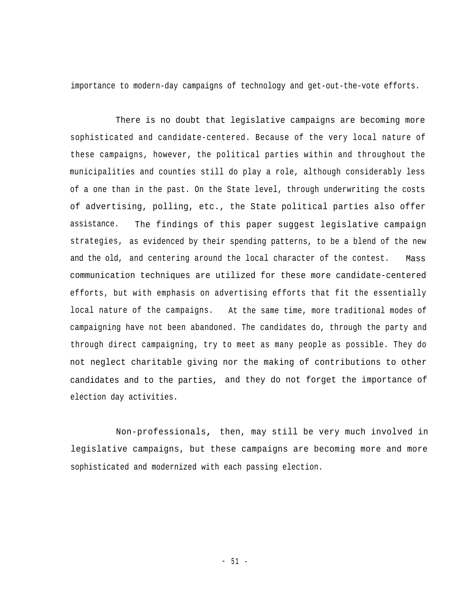importance to modern-day campaigns of technology and get-out-the-vote efforts.

There is no doubt that legislative campaigns are becoming more sophisticated and candidate-centered. Because of the very local nature of these campaigns, however, the political parties within and throughout the municipalities and counties still do play a role, although considerably less of a one than in the past. On the State level, through underwriting the costs of advertising, polling, etc., the State political parties also offer assistance. strategies, as evidenced by their spending patterns, to be a blend of the new and the old, and centering around the local character of the contest. Mass The findings of this paper suggest legislative campaign communication techniques are utilized for these more candidate-centered efforts, but with emphasis on advertising efforts that fit the essentially local nature of the campaigns. At the same time, more traditional modes of campaigning have not been abandoned. The candidates do, through the party and through direct campaigning, try to meet as many people as possible. They do not neglect charitable giving nor the making of contributions to other candidates and to the parties, and they do not forget the importance of election day activities.

Non-professionals**,** then, may still be very much involved in legislative campaigns, but these campaigns are becoming more and more sophisticated and modernized with each passing election.